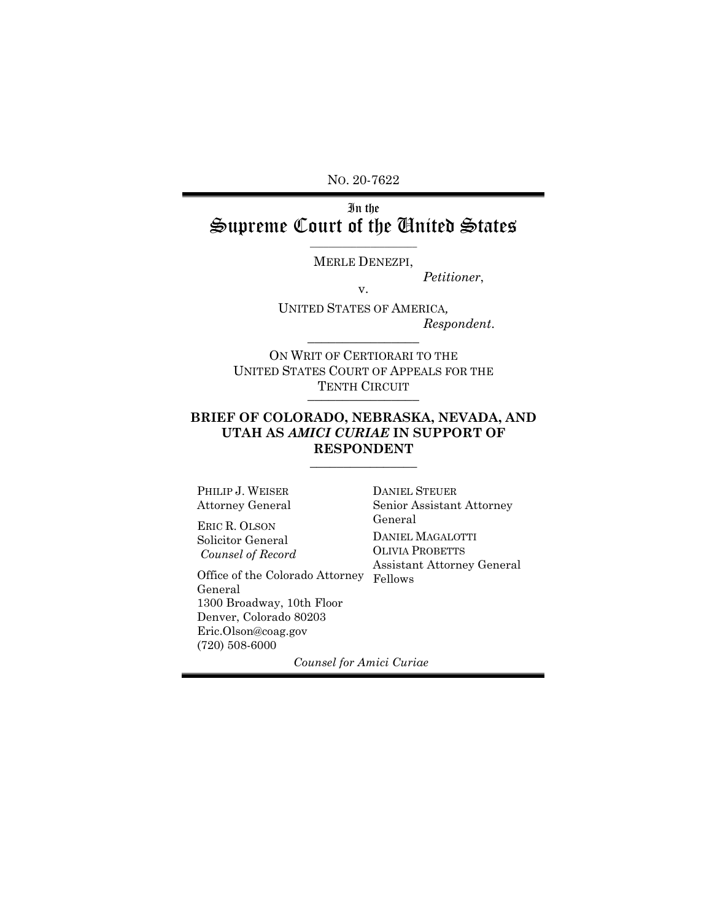NO. 20-7622

# In the Supreme Court of the United States

\_\_\_\_\_\_\_\_\_\_\_\_\_\_\_\_\_\_\_\_\_\_\_ MERLE DENEZPI,

*Petitioner*, v.

UNITED STATES OF AMERICA*, Respondent*.  $\overline{\phantom{a}}$  , where  $\overline{\phantom{a}}$ 

ON WRIT OF CERTIORARI TO THE UNITED STATES COURT OF APPEALS FOR THE TENTH CIRCUIT

#### **BRIEF OF COLORADO, NEBRASKA, NEVADA, AND UTAH AS** *AMICI CURIAE* **IN SUPPORT OF RESPONDENT**  $\overline{\phantom{a}}$  , where  $\overline{\phantom{a}}$

PHILIP J. WEISER Attorney General

ERIC R. OLSON Solicitor General *Counsel of Record*

Office of the Colorado Attorney Fellows General 1300 Broadway, 10th Floor Denver, Colorado 80203 Eric.Olson@coag.gov (720) 508-6000

DANIEL STEUER Senior Assistant Attorney General DANIEL MAGALOTTI OLIVIA PROBETTS Assistant Attorney General

*Counsel for Amici Curiae*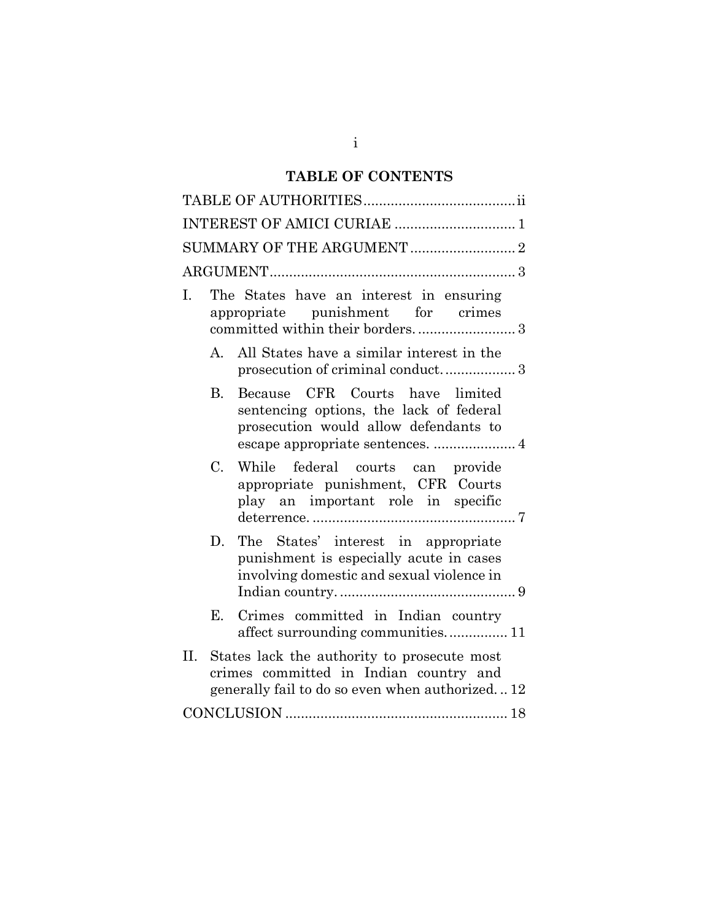# **TABLE OF CONTENTS**

| INTEREST OF AMICI CURIAE  1                                                                                                                    |  |  |  |  |
|------------------------------------------------------------------------------------------------------------------------------------------------|--|--|--|--|
| SUMMARY OF THE ARGUMENT  2                                                                                                                     |  |  |  |  |
|                                                                                                                                                |  |  |  |  |
| The States have an interest in ensuring<br>Ι.<br>appropriate punishment for crimes                                                             |  |  |  |  |
| A. All States have a similar interest in the<br>prosecution of criminal conduct 3                                                              |  |  |  |  |
| Because CFR Courts have limited<br><b>B.</b><br>sentencing options, the lack of federal<br>prosecution would allow defendants to               |  |  |  |  |
| $C_{\cdot}$<br>While federal courts can provide<br>appropriate punishment, CFR Courts<br>play an important role in specific                    |  |  |  |  |
| The States' interest in appropriate<br>D.<br>punishment is especially acute in cases<br>involving domestic and sexual violence in              |  |  |  |  |
| Crimes committed in Indian country<br>Е.<br>affect surrounding communities 11                                                                  |  |  |  |  |
| II.<br>States lack the authority to prosecute most<br>crimes committed in Indian country and<br>generally fail to do so even when authorized12 |  |  |  |  |
|                                                                                                                                                |  |  |  |  |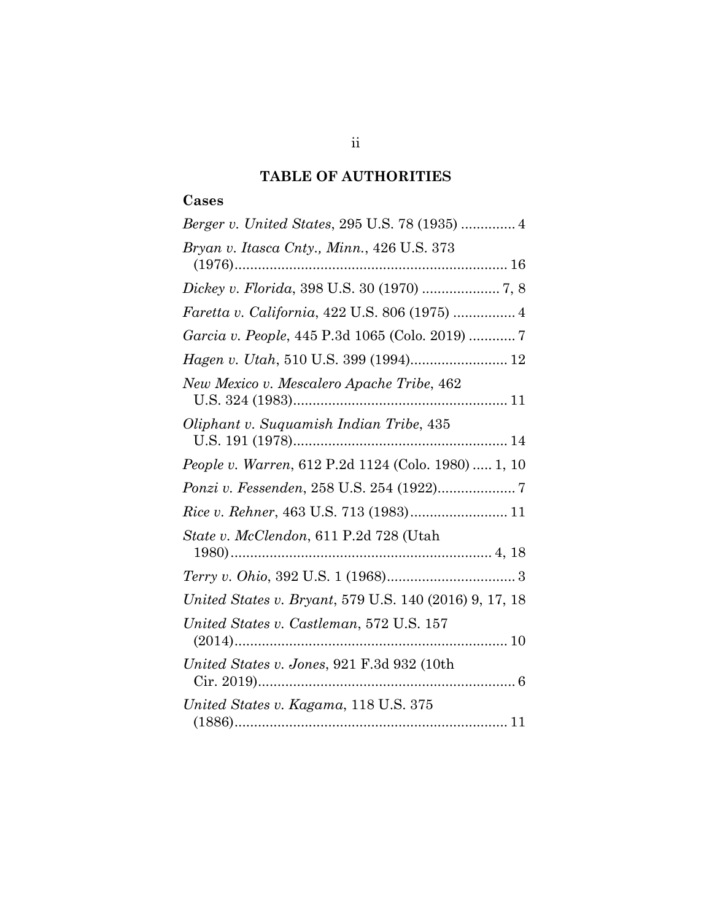# **TABLE OF AUTHORITIES**

### <span id="page-2-0"></span>**Cases**

| Bryan v. Itasca Cnty., Minn., 426 U.S. 373             |
|--------------------------------------------------------|
| Dickey v. Florida, 398 U.S. 30 (1970)  7, 8            |
| Faretta v. California, 422 U.S. 806 (1975)  4          |
| Garcia v. People, 445 P.3d 1065 (Colo. 2019)  7        |
| Hagen v. Utah, 510 U.S. 399 (1994) 12                  |
| New Mexico v. Mescalero Apache Tribe, 462              |
| Oliphant v. Suquamish Indian Tribe, 435                |
| People v. Warren, 612 P.2d 1124 (Colo. 1980)  1, 10    |
|                                                        |
|                                                        |
| State v. McClendon, 611 P.2d 728 (Utah                 |
|                                                        |
| United States v. Bryant, 579 U.S. 140 (2016) 9, 17, 18 |
| United States v. Castleman, 572 U.S. 157               |
| United States v. Jones, 921 F.3d 932 (10th             |
| United States v. Kagama, 118 U.S. 375                  |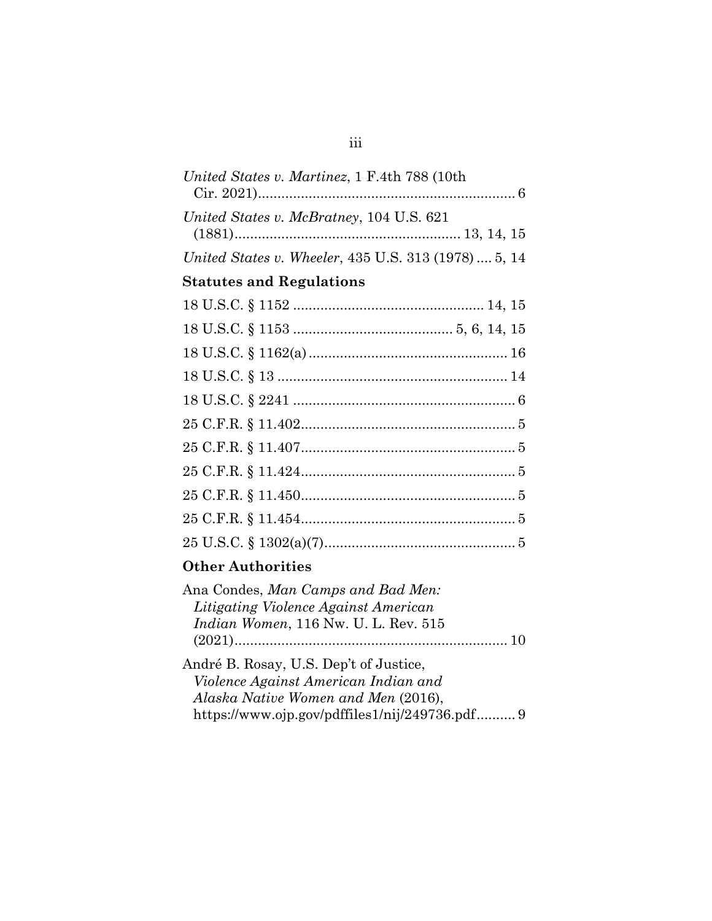| United States v. Martinez, 1 F.4th 788 (10th         |
|------------------------------------------------------|
| United States v. McBratney, 104 U.S. 621             |
| United States v. Wheeler, 435 U.S. 313 (1978)  5, 14 |
| <b>Statutes and Regulations</b>                      |
|                                                      |
|                                                      |
|                                                      |
|                                                      |
|                                                      |
|                                                      |
|                                                      |
|                                                      |
|                                                      |
|                                                      |
|                                                      |
|                                                      |

# **Other Authorities**

| Ana Condes, Man Camps and Bad Men:           |  |
|----------------------------------------------|--|
| Litigating Violence Against American         |  |
| <i>Indian Women</i> , 116 Nw. U. L. Rev. 515 |  |
|                                              |  |
| André B. Rosay, U.S. Dep't of Justice,       |  |
| Violence Against American Indian and         |  |
| Alaska Native Women and Men (2016),          |  |

https://www.ojp.gov/pdffiles1/nij/249736.pdf.......... 9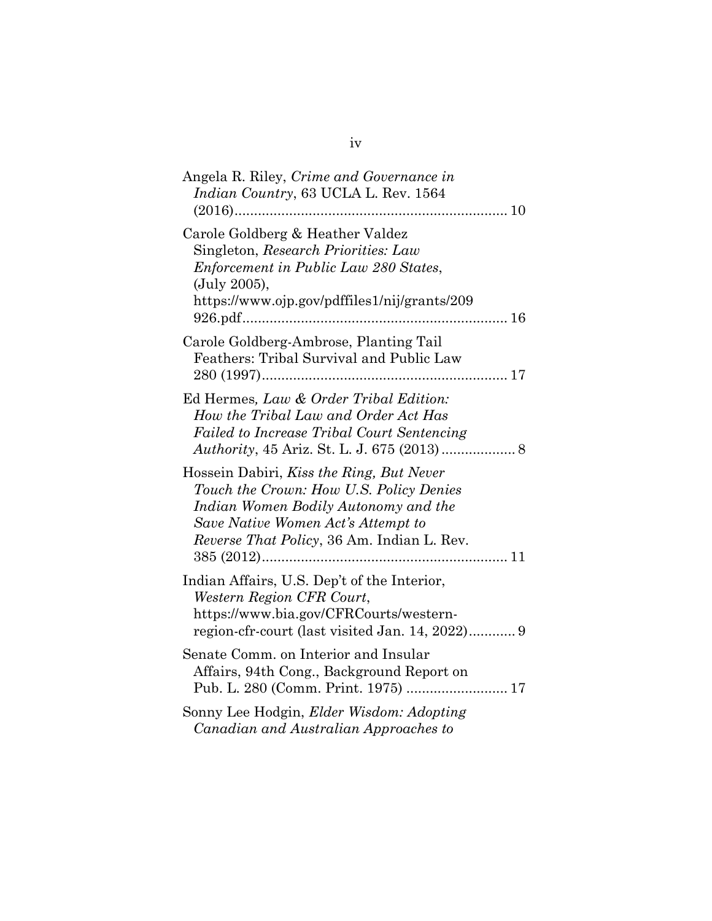| Angela R. Riley, Crime and Governance in<br>Indian Country, 63 UCLA L. Rev. 1564                                                                                                                                        |
|-------------------------------------------------------------------------------------------------------------------------------------------------------------------------------------------------------------------------|
| Carole Goldberg & Heather Valdez<br>Singleton, Research Priorities: Law<br>Enforcement in Public Law 280 States,<br>(July 2005),<br>https://www.ojp.gov/pdffiles1/nij/grants/209                                        |
| Carole Goldberg-Ambrose, Planting Tail<br>Feathers: Tribal Survival and Public Law                                                                                                                                      |
| Ed Hermes, Law & Order Tribal Edition:<br>How the Tribal Law and Order Act Has<br>Failed to Increase Tribal Court Sentencing                                                                                            |
| Hossein Dabiri, Kiss the Ring, But Never<br>Touch the Crown: How U.S. Policy Denies<br>Indian Women Bodily Autonomy and the<br>Save Native Women Act's Attempt to<br><i>Reverse That Policy</i> , 36 Am. Indian L. Rev. |
| Indian Affairs, U.S. Dep't of the Interior,<br>Western Region CFR Court,<br>https://www.bia.gov/CFRCourts/western-                                                                                                      |
| Senate Comm. on Interior and Insular<br>Affairs, 94th Cong., Background Report on                                                                                                                                       |
| Sonny Lee Hodgin, Elder Wisdom: Adopting<br>Canadian and Australian Approaches to                                                                                                                                       |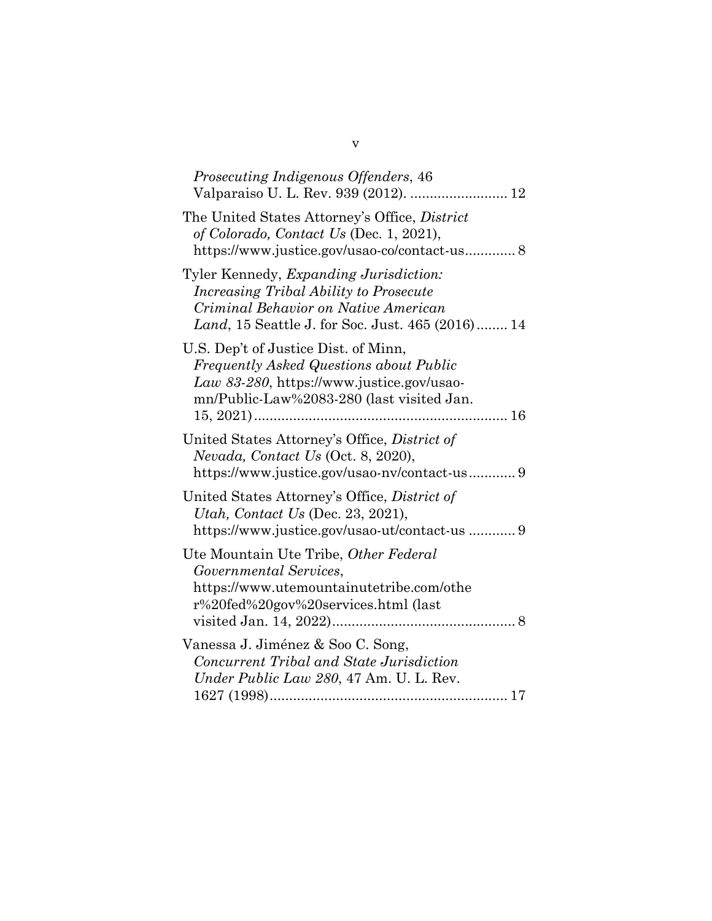| Prosecuting Indigenous Offenders, 46                                                                                                                                                            |
|-------------------------------------------------------------------------------------------------------------------------------------------------------------------------------------------------|
| The United States Attorney's Office, District<br>of Colorado, Contact Us (Dec. 1, 2021),<br>https://www.justice.gov/usao-co/contact-us 8                                                        |
| Tyler Kennedy, <i>Expanding Jurisdiction</i> :<br>Increasing Tribal Ability to Prosecute<br>Criminal Behavior on Native American<br>Land, 15 Seattle J. for Soc. Just. 465 (2016) 14            |
| U.S. Dep't of Justice Dist. of Minn,<br><b>Frequently Asked Questions about Public</b><br>Law 83-280, https://www.justice.gov/usao-<br>mn/Public-Law%2083-280 (last visited Jan.<br>$15, 2021)$ |
| United States Attorney's Office, District of<br>Nevada, Contact Us (Oct. 8, 2020),<br>https://www.justice.gov/usao-nv/contact-us9                                                               |
| United States Attorney's Office, District of<br>Utah, Contact Us (Dec. 23, 2021),<br>https://www.justice.gov/usao-ut/contact-us 9                                                               |
| Ute Mountain Ute Tribe, Other Federal<br>Governmental Services,<br>https://www.utemountainutetribe.com/othe<br>r%20fed%20gov%20services.html (last                                              |
| Vanessa J. Jiménez & Soo C. Song,<br>Concurrent Tribal and State Jurisdiction<br>Under Public Law 280, 47 Am. U. L. Rev.                                                                        |

v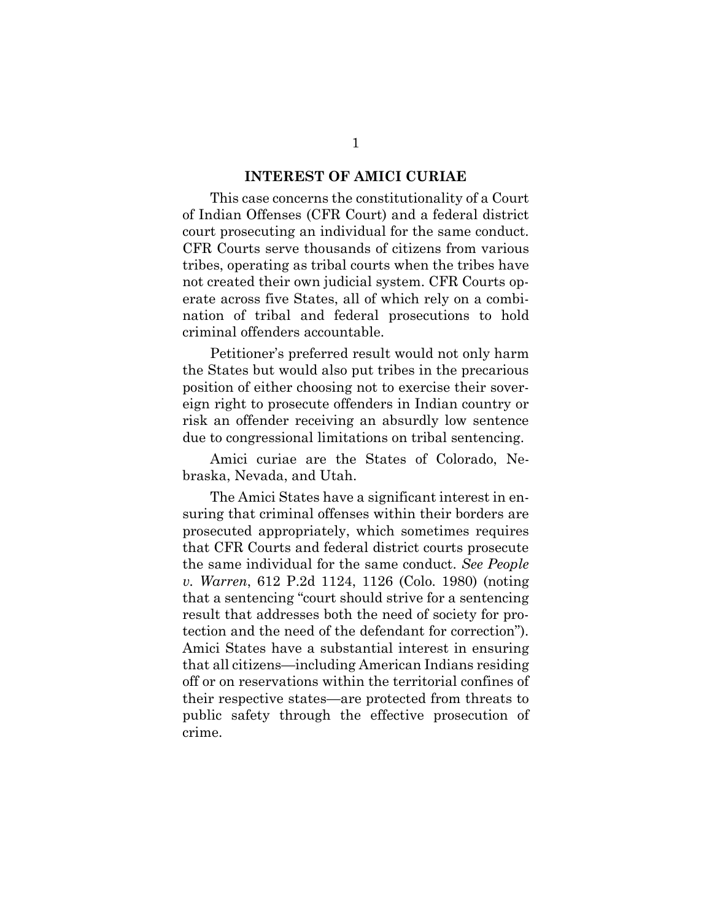#### **INTEREST OF AMICI CURIAE**

<span id="page-6-0"></span>This case concerns the constitutionality of a Court of Indian Offenses (CFR Court) and a federal district court prosecuting an individual for the same conduct. CFR Courts serve thousands of citizens from various tribes, operating as tribal courts when the tribes have not created their own judicial system. CFR Courts operate across five States, all of which rely on a combination of tribal and federal prosecutions to hold criminal offenders accountable.

Petitioner's preferred result would not only harm the States but would also put tribes in the precarious position of either choosing not to exercise their sovereign right to prosecute offenders in Indian country or risk an offender receiving an absurdly low sentence due to congressional limitations on tribal sentencing.

Amici curiae are the States of Colorado, Nebraska, Nevada, and Utah.

The Amici States have a significant interest in ensuring that criminal offenses within their borders are prosecuted appropriately, which sometimes requires that CFR Courts and federal district courts prosecute the same individual for the same conduct. *See People v. Warren*, 612 P.2d 1124, 1126 (Colo. 1980) (noting that a sentencing "court should strive for a sentencing result that addresses both the need of society for protection and the need of the defendant for correction"). Amici States have a substantial interest in ensuring that all citizens—including American Indians residing off or on reservations within the territorial confines of their respective states—are protected from threats to public safety through the effective prosecution of crime.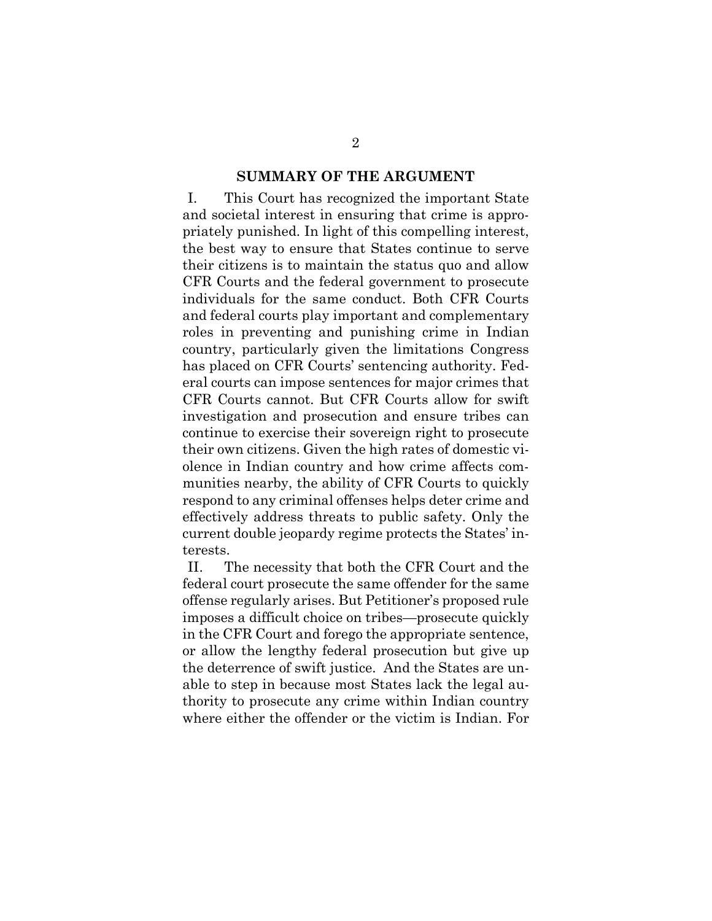#### **SUMMARY OF THE ARGUMENT**

<span id="page-7-0"></span>I. This Court has recognized the important State and societal interest in ensuring that crime is appropriately punished. In light of this compelling interest, the best way to ensure that States continue to serve their citizens is to maintain the status quo and allow CFR Courts and the federal government to prosecute individuals for the same conduct. Both CFR Courts and federal courts play important and complementary roles in preventing and punishing crime in Indian country, particularly given the limitations Congress has placed on CFR Courts' sentencing authority. Federal courts can impose sentences for major crimes that CFR Courts cannot. But CFR Courts allow for swift investigation and prosecution and ensure tribes can continue to exercise their sovereign right to prosecute their own citizens. Given the high rates of domestic violence in Indian country and how crime affects communities nearby, the ability of CFR Courts to quickly respond to any criminal offenses helps deter crime and effectively address threats to public safety. Only the current double jeopardy regime protects the States' interests.

II. The necessity that both the CFR Court and the federal court prosecute the same offender for the same offense regularly arises. But Petitioner's proposed rule imposes a difficult choice on tribes—prosecute quickly in the CFR Court and forego the appropriate sentence, or allow the lengthy federal prosecution but give up the deterrence of swift justice. And the States are unable to step in because most States lack the legal authority to prosecute any crime within Indian country where either the offender or the victim is Indian. For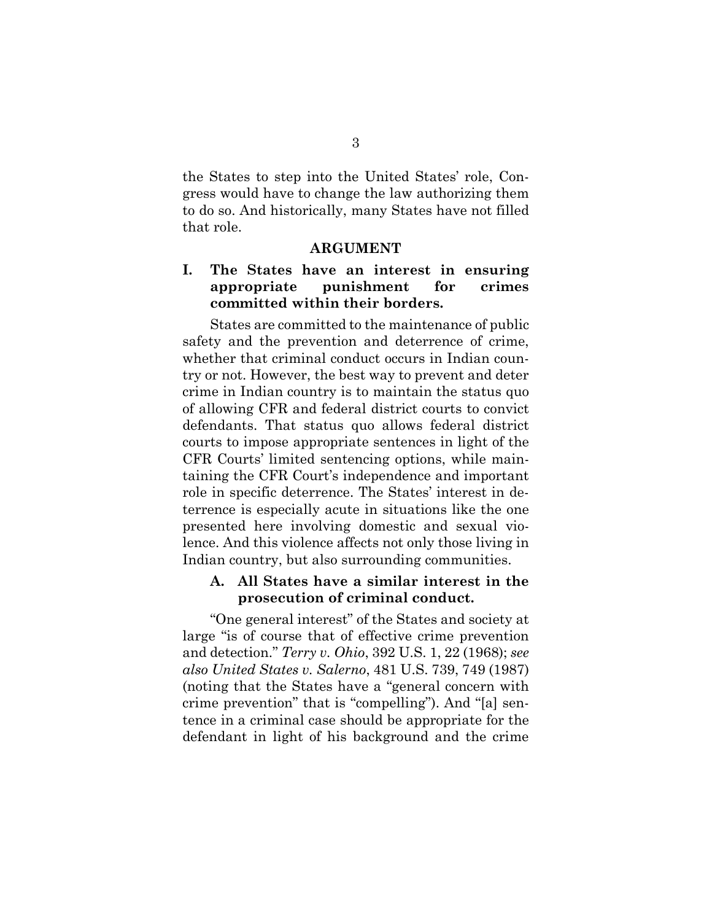the States to step into the United States' role, Congress would have to change the law authorizing them to do so. And historically, many States have not filled that role.

#### **ARGUMENT**

### <span id="page-8-1"></span><span id="page-8-0"></span>**I. The States have an interest in ensuring appropriate punishment for crimes committed within their borders.**

States are committed to the maintenance of public safety and the prevention and deterrence of crime, whether that criminal conduct occurs in Indian country or not. However, the best way to prevent and deter crime in Indian country is to maintain the status quo of allowing CFR and federal district courts to convict defendants. That status quo allows federal district courts to impose appropriate sentences in light of the CFR Courts' limited sentencing options, while maintaining the CFR Court's independence and important role in specific deterrence. The States' interest in deterrence is especially acute in situations like the one presented here involving domestic and sexual violence. And this violence affects not only those living in Indian country, but also surrounding communities.

#### <span id="page-8-2"></span>**A. All States have a similar interest in the prosecution of criminal conduct.**

"One general interest" of the States and society at large "is of course that of effective crime prevention and detection." *Terry v. Ohio*, 392 U.S. 1, 22 (1968); *see also United States v. Salerno*, 481 U.S. 739, 749 (1987) (noting that the States have a "general concern with crime prevention" that is "compelling"). And "[a] sentence in a criminal case should be appropriate for the defendant in light of his background and the crime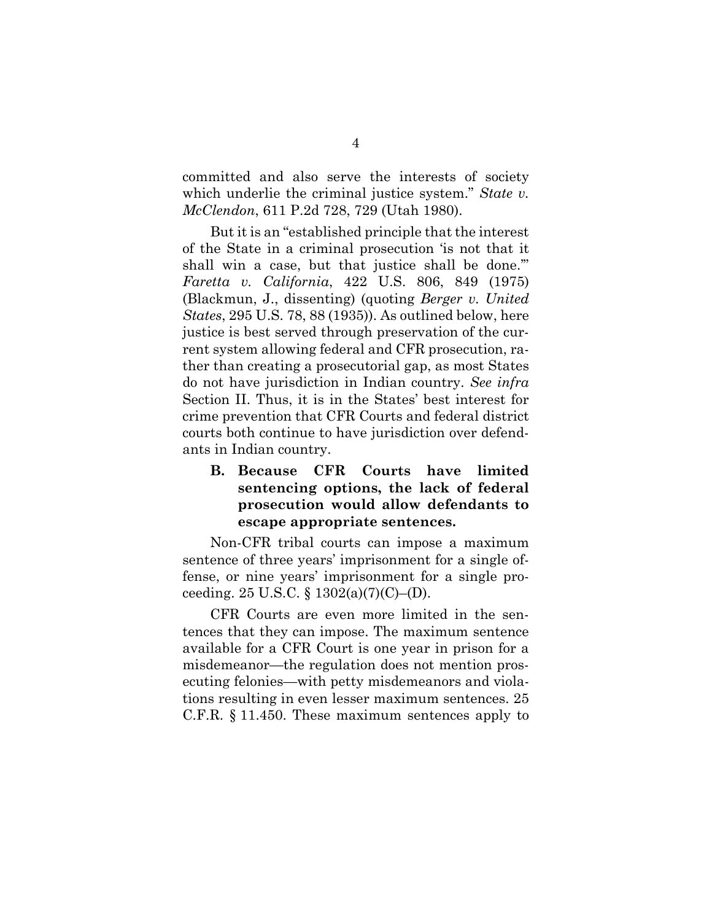committed and also serve the interests of society which underlie the criminal justice system." *State v. McClendon*, 611 P.2d 728, 729 (Utah 1980).

But it is an "established principle that the interest of the State in a criminal prosecution 'is not that it shall win a case, but that justice shall be done." *Faretta v. California*, 422 U.S. 806, 849 (1975) (Blackmun, J., dissenting) (quoting *Berger v. United States*, 295 U.S. 78, 88 (1935)). As outlined below, here justice is best served through preservation of the current system allowing federal and CFR prosecution, rather than creating a prosecutorial gap, as most States do not have jurisdiction in Indian country. *See infra* Section II. Thus, it is in the States' best interest for crime prevention that CFR Courts and federal district courts both continue to have jurisdiction over defendants in Indian country.

### <span id="page-9-0"></span>**B. Because CFR Courts have limited sentencing options, the lack of federal prosecution would allow defendants to escape appropriate sentences.**

Non-CFR tribal courts can impose a maximum sentence of three years' imprisonment for a single offense, or nine years' imprisonment for a single proceeding. 25 U.S.C.  $\S 1302(a)(7)(C)$ –(D).

CFR Courts are even more limited in the sentences that they can impose. The maximum sentence available for a CFR Court is one year in prison for a misdemeanor—the regulation does not mention prosecuting felonies—with petty misdemeanors and violations resulting in even lesser maximum sentences. 25 C.F.R. § 11.450. These maximum sentences apply to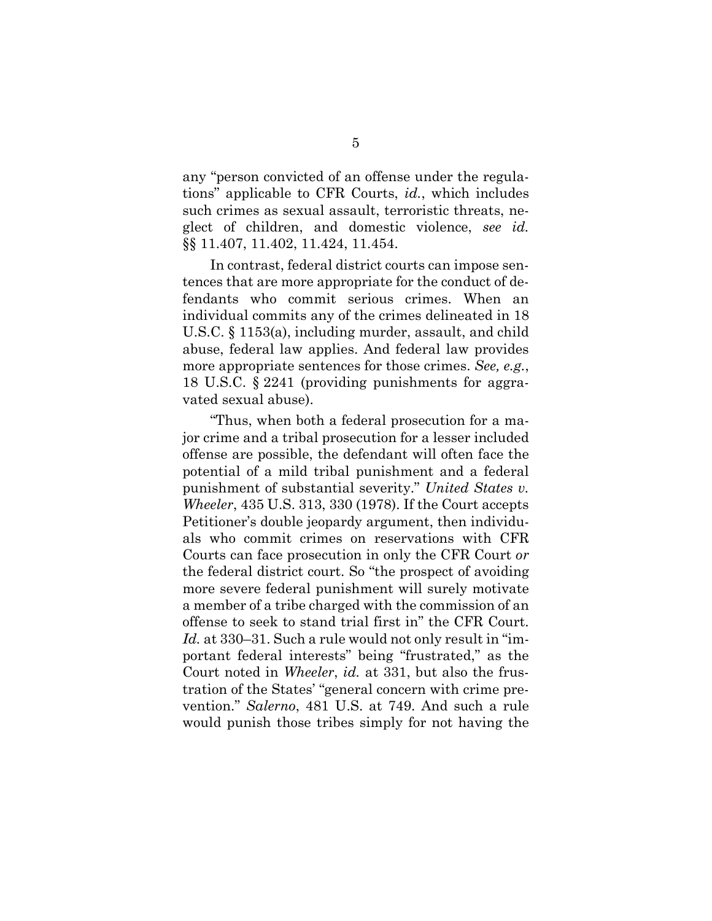any "person convicted of an offense under the regulations" applicable to CFR Courts, *id.*, which includes such crimes as sexual assault, terroristic threats, neglect of children, and domestic violence, *see id.* §§ 11.407, 11.402, 11.424, 11.454.

In contrast, federal district courts can impose sentences that are more appropriate for the conduct of defendants who commit serious crimes. When an individual commits any of the crimes delineated in 18 U.S.C. § 1153(a), including murder, assault, and child abuse, federal law applies. And federal law provides more appropriate sentences for those crimes. *See, e.g.*, 18 U.S.C. § 2241 (providing punishments for aggravated sexual abuse).

"Thus, when both a federal prosecution for a major crime and a tribal prosecution for a lesser included offense are possible, the defendant will often face the potential of a mild tribal punishment and a federal punishment of substantial severity." *United States v. Wheeler*, 435 U.S. 313, 330 (1978). If the Court accepts Petitioner's double jeopardy argument, then individuals who commit crimes on reservations with CFR Courts can face prosecution in only the CFR Court *or* the federal district court. So "the prospect of avoiding more severe federal punishment will surely motivate a member of a tribe charged with the commission of an offense to seek to stand trial first in" the CFR Court. *Id.* at 330–31. Such a rule would not only result in "important federal interests" being "frustrated," as the Court noted in *Wheeler*, *id.* at 331, but also the frustration of the States' "general concern with crime prevention." *Salerno*, 481 U.S. at 749. And such a rule would punish those tribes simply for not having the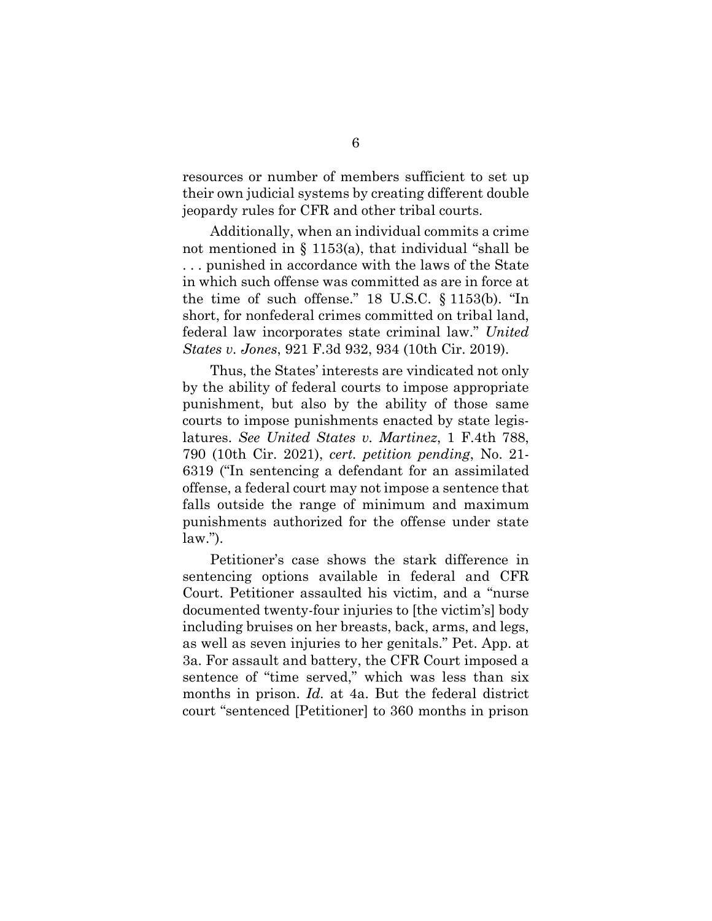resources or number of members sufficient to set up their own judicial systems by creating different double jeopardy rules for CFR and other tribal courts.

Additionally, when an individual commits a crime not mentioned in § 1153(a), that individual "shall be . . . punished in accordance with the laws of the State in which such offense was committed as are in force at the time of such offense." 18 U.S.C. § 1153(b). "In short, for nonfederal crimes committed on tribal land, federal law incorporates state criminal law." *United States v. Jones*, 921 F.3d 932, 934 (10th Cir. 2019).

Thus, the States' interests are vindicated not only by the ability of federal courts to impose appropriate punishment, but also by the ability of those same courts to impose punishments enacted by state legislatures. *See United States v. Martinez*, 1 F.4th 788, 790 (10th Cir. 2021), *cert. petition pending*, No. 21- 6319 ("In sentencing a defendant for an assimilated offense, a federal court may not impose a sentence that falls outside the range of minimum and maximum punishments authorized for the offense under state law.").

Petitioner's case shows the stark difference in sentencing options available in federal and CFR Court. Petitioner assaulted his victim, and a "nurse documented twenty-four injuries to [the victim's] body including bruises on her breasts, back, arms, and legs, as well as seven injuries to her genitals." Pet. App. at 3a. For assault and battery, the CFR Court imposed a sentence of "time served," which was less than six months in prison. *Id.* at 4a. But the federal district court "sentenced [Petitioner] to 360 months in prison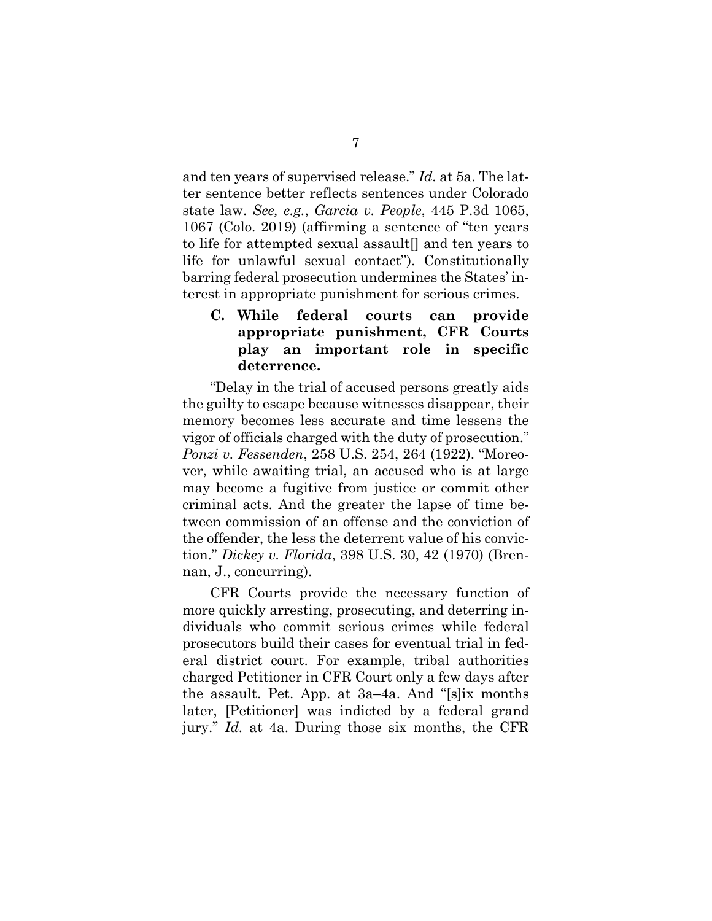and ten years of supervised release." *Id.* at 5a. The latter sentence better reflects sentences under Colorado state law. *See, e.g.*, *Garcia v. People*, 445 P.3d 1065, 1067 (Colo. 2019) (affirming a sentence of "ten years to life for attempted sexual assault[] and ten years to life for unlawful sexual contact"). Constitutionally barring federal prosecution undermines the States' interest in appropriate punishment for serious crimes.

### <span id="page-12-0"></span>**C. While federal courts can provide appropriate punishment, CFR Courts play an important role in specific deterrence.**

"Delay in the trial of accused persons greatly aids the guilty to escape because witnesses disappear, their memory becomes less accurate and time lessens the vigor of officials charged with the duty of prosecution." *Ponzi v. Fessenden*, 258 U.S. 254, 264 (1922). "Moreover, while awaiting trial, an accused who is at large may become a fugitive from justice or commit other criminal acts. And the greater the lapse of time between commission of an offense and the conviction of the offender, the less the deterrent value of his conviction." *Dickey v. Florida*, 398 U.S. 30, 42 (1970) (Brennan, J., concurring).

CFR Courts provide the necessary function of more quickly arresting, prosecuting, and deterring individuals who commit serious crimes while federal prosecutors build their cases for eventual trial in federal district court. For example, tribal authorities charged Petitioner in CFR Court only a few days after the assault. Pet. App. at 3a–4a. And "[s]ix months later, [Petitioner] was indicted by a federal grand jury." *Id.* at 4a. During those six months, the CFR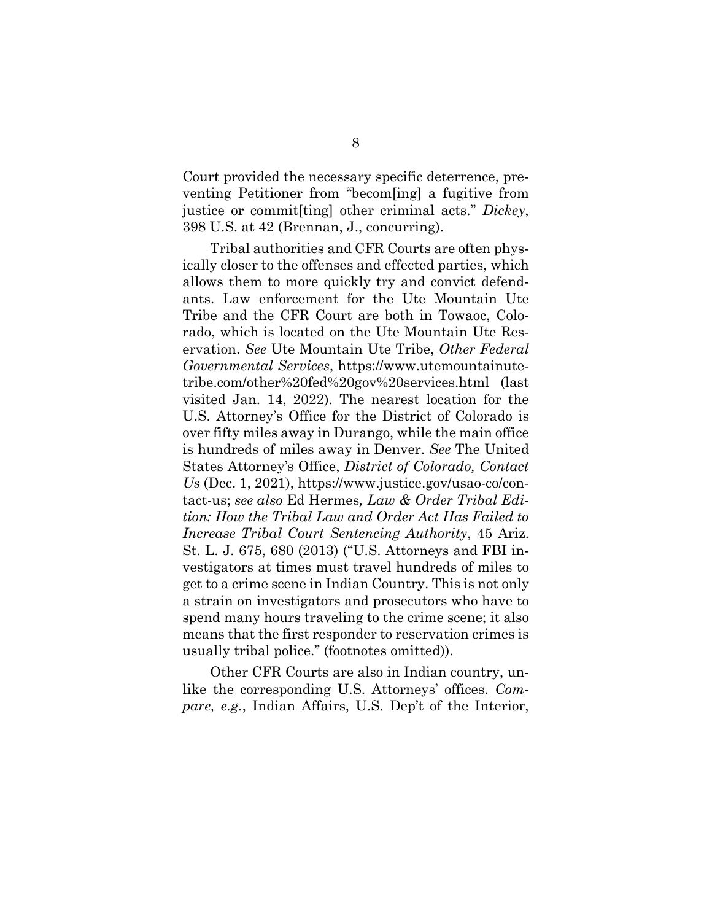Court provided the necessary specific deterrence, preventing Petitioner from "becom[ing] a fugitive from justice or commit[ting] other criminal acts." *Dickey*, 398 U.S. at 42 (Brennan, J., concurring).

Tribal authorities and CFR Courts are often physically closer to the offenses and effected parties, which allows them to more quickly try and convict defendants. Law enforcement for the Ute Mountain Ute Tribe and the CFR Court are both in Towaoc, Colorado, which is located on the Ute Mountain Ute Reservation. *See* Ute Mountain Ute Tribe, *Other Federal Governmental Services*, [https://www.utemountainute](https://www.utemountainutetribe.com/other%20fed%20gov%20services.html)[tribe.com/other%20fed%20gov%20services.html](https://www.utemountainutetribe.com/other%20fed%20gov%20services.html) (last visited Jan. 14, 2022). The nearest location for the U.S. Attorney's Office for the District of Colorado is over fifty miles away in Durango, while the main office is hundreds of miles away in Denver. *See* The United States Attorney's Office, *District of Colorado, Contact Us* (Dec. 1, 2021), [https://www.justice.gov/usao-co/con](https://www.justice.gov/usao-co/contact-us)[tact-us;](https://www.justice.gov/usao-co/contact-us) *see also* Ed Hermes*, Law & Order Tribal Edition: How the Tribal Law and Order Act Has Failed to Increase Tribal Court Sentencing Authority*, 45 Ariz. St. L. J. 675, 680 (2013) ("U.S. Attorneys and FBI investigators at times must travel hundreds of miles to get to a crime scene in Indian Country. This is not only a strain on investigators and prosecutors who have to spend many hours traveling to the crime scene; it also means that the first responder to reservation crimes is usually tribal police." (footnotes omitted)).

Other CFR Courts are also in Indian country, unlike the corresponding U.S. Attorneys' offices. *Compare, e.g.*, Indian Affairs, U.S. Dep't of the Interior,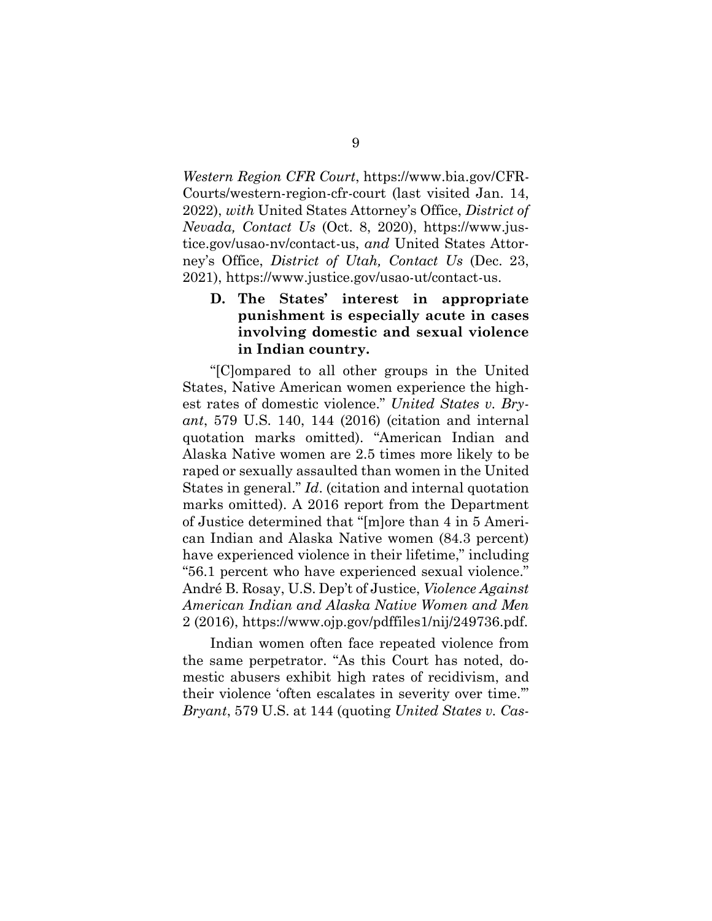*Western Region CFR Court*, [https://www.bia.gov/CFR-](https://www.bia.gov/CFRCourts/western-region-cfr-court)[Courts/western-region-cfr-court](https://www.bia.gov/CFRCourts/western-region-cfr-court) (last visited Jan. 14, 2022), *with* United States Attorney's Office, *District of Nevada, Contact Us* (Oct. 8, 2020), [https://www.jus](https://www.justice.gov/usao-nv/contact-us)[tice.gov/usao-nv/contact-us,](https://www.justice.gov/usao-nv/contact-us) *and* United States Attorney's Office, *District of Utah, Contact Us* (Dec. 23, 2021), [https://www.justice.gov/usao-ut/contact-us.](https://www.justice.gov/usao-ut/contact-us)

### <span id="page-14-0"></span>**D. The States' interest in appropriate punishment is especially acute in cases involving domestic and sexual violence in Indian country.**

"[C]ompared to all other groups in the United States, Native American women experience the highest rates of domestic violence." *United States v. Bryant*, 579 U.S. 140, 144 (2016) (citation and internal quotation marks omitted). "American Indian and Alaska Native women are 2.5 times more likely to be raped or sexually assaulted than women in the United States in general." *Id*. (citation and internal quotation marks omitted). A 2016 report from the Department of Justice determined that "[m]ore than 4 in 5 American Indian and Alaska Native women (84.3 percent) have experienced violence in their lifetime," including "56.1 percent who have experienced sexual violence." André B. Rosay, U.S. Dep't of Justice, *Violence Against American Indian and Alaska Native Women and Men* 2 (2016), [https://www.ojp.gov/pdffiles1/nij/249736.pdf.](https://www.ojp.gov/pdffiles1/nij/249736.pdf)

Indian women often face repeated violence from the same perpetrator. "As this Court has noted, domestic abusers exhibit high rates of recidivism, and their violence 'often escalates in severity over time.'" *Bryant*, 579 U.S. at 144 (quoting *United States v. Cas-*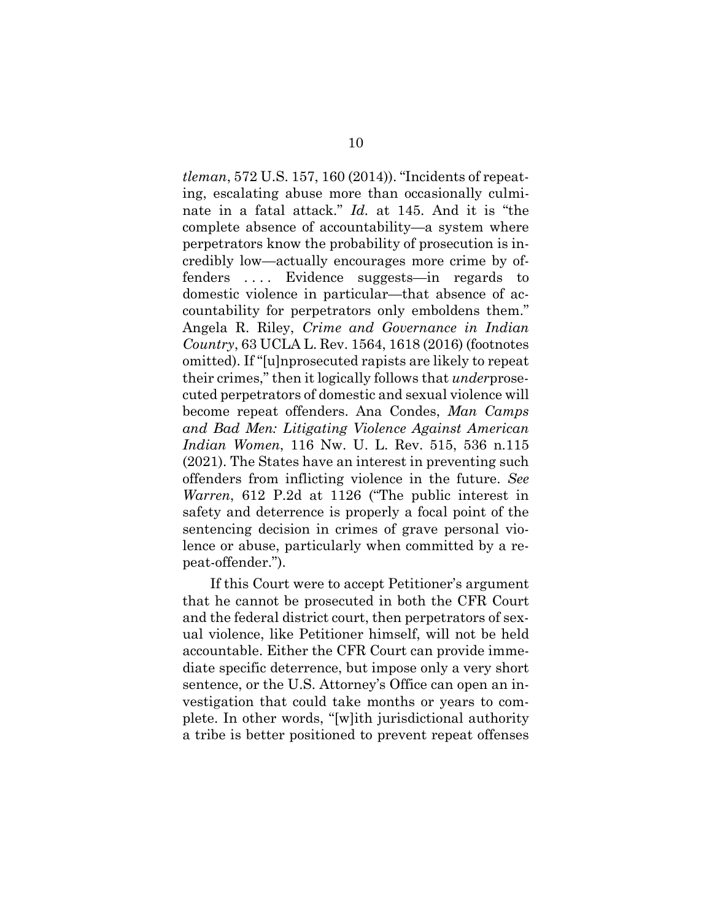*tleman*, 572 U.S. 157, 160 (2014)). "Incidents of repeating, escalating abuse more than occasionally culminate in a fatal attack." *Id.* at 145. And it is "the complete absence of accountability—a system where perpetrators know the probability of prosecution is incredibly low—actually encourages more crime by offenders . . . . Evidence suggests—in regards to domestic violence in particular—that absence of accountability for perpetrators only emboldens them." Angela R. Riley, *Crime and Governance in Indian Country*, 63 UCLA L. Rev. 1564, 1618 (2016) (footnotes omitted). If "[u]nprosecuted rapists are likely to repeat their crimes," then it logically follows that *under*prosecuted perpetrators of domestic and sexual violence will become repeat offenders. Ana Condes, *Man Camps and Bad Men: Litigating Violence Against American Indian Women*, 116 Nw. U. L. Rev. 515, 536 n.115 (2021). The States have an interest in preventing such offenders from inflicting violence in the future. *See Warren*, 612 P.2d at 1126 ("The public interest in safety and deterrence is properly a focal point of the sentencing decision in crimes of grave personal violence or abuse, particularly when committed by a repeat-offender.").

If this Court were to accept Petitioner's argument that he cannot be prosecuted in both the CFR Court and the federal district court, then perpetrators of sexual violence, like Petitioner himself, will not be held accountable. Either the CFR Court can provide immediate specific deterrence, but impose only a very short sentence, or the U.S. Attorney's Office can open an investigation that could take months or years to complete. In other words, "[w]ith jurisdictional authority a tribe is better positioned to prevent repeat offenses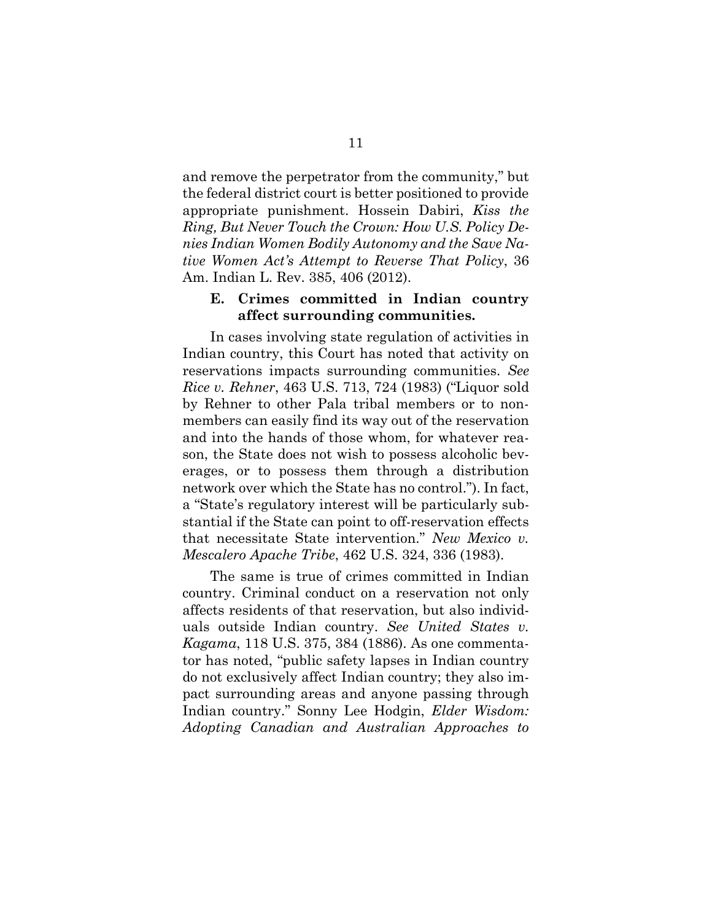and remove the perpetrator from the community," but the federal district court is better positioned to provide appropriate punishment. Hossein Dabiri, *Kiss the Ring, But Never Touch the Crown: How U.S. Policy Denies Indian Women Bodily Autonomy and the Save Native Women Act's Attempt to Reverse That Policy*, 36 Am. Indian L. Rev. 385, 406 (2012).

#### <span id="page-16-0"></span>**E. Crimes committed in Indian country affect surrounding communities.**

In cases involving state regulation of activities in Indian country, this Court has noted that activity on reservations impacts surrounding communities. *See Rice v. Rehner*, 463 U.S. 713, 724 (1983) ("Liquor sold by Rehner to other Pala tribal members or to nonmembers can easily find its way out of the reservation and into the hands of those whom, for whatever reason, the State does not wish to possess alcoholic beverages, or to possess them through a distribution network over which the State has no control."). In fact, a "State's regulatory interest will be particularly substantial if the State can point to off-reservation effects that necessitate State intervention." *New Mexico v. Mescalero Apache Tribe*, 462 U.S. 324, 336 (1983).

The same is true of crimes committed in Indian country. Criminal conduct on a reservation not only affects residents of that reservation, but also individuals outside Indian country. *See United States v. Kagama*, 118 U.S. 375, 384 (1886). As one commentator has noted, "public safety lapses in Indian country do not exclusively affect Indian country; they also impact surrounding areas and anyone passing through Indian country." Sonny Lee Hodgin, *Elder Wisdom: Adopting Canadian and Australian Approaches to*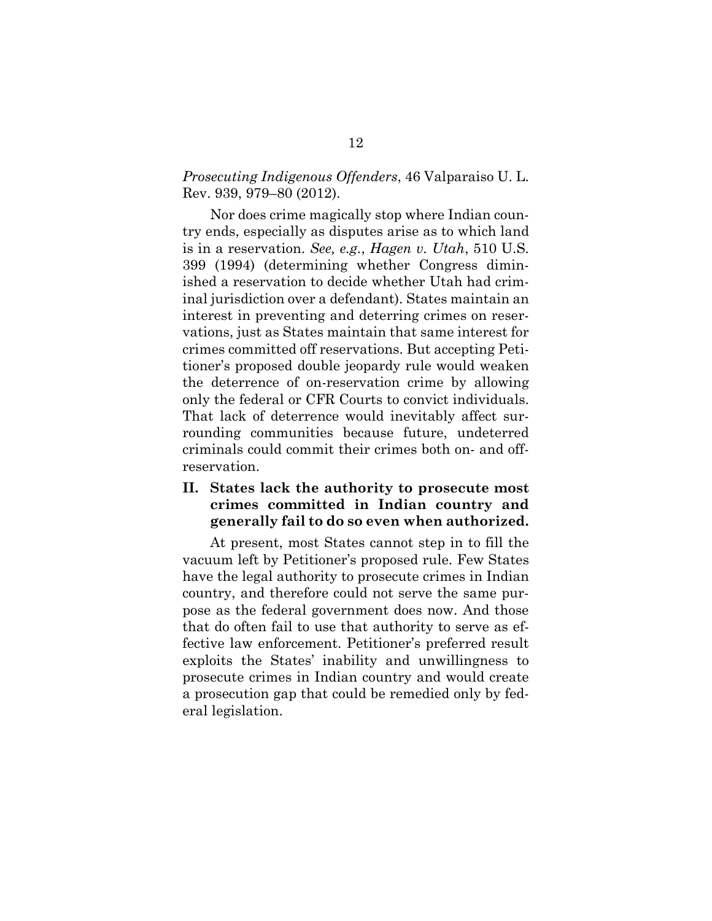#### *Prosecuting Indigenous Offenders*, 46 Valparaiso U. L. Rev. 939, 979–80 (2012).

Nor does crime magically stop where Indian country ends, especially as disputes arise as to which land is in a reservation. *See, e.g.*, *Hagen v. Utah*, 510 U.S. 399 (1994) (determining whether Congress diminished a reservation to decide whether Utah had criminal jurisdiction over a defendant). States maintain an interest in preventing and deterring crimes on reservations, just as States maintain that same interest for crimes committed off reservations. But accepting Petitioner's proposed double jeopardy rule would weaken the deterrence of on-reservation crime by allowing only the federal or CFR Courts to convict individuals. That lack of deterrence would inevitably affect surrounding communities because future, undeterred criminals could commit their crimes both on- and offreservation.

### <span id="page-17-0"></span>**II. States lack the authority to prosecute most crimes committed in Indian country and generally fail to do so even when authorized.**

At present, most States cannot step in to fill the vacuum left by Petitioner's proposed rule. Few States have the legal authority to prosecute crimes in Indian country, and therefore could not serve the same purpose as the federal government does now. And those that do often fail to use that authority to serve as effective law enforcement. Petitioner's preferred result exploits the States' inability and unwillingness to prosecute crimes in Indian country and would create a prosecution gap that could be remedied only by federal legislation.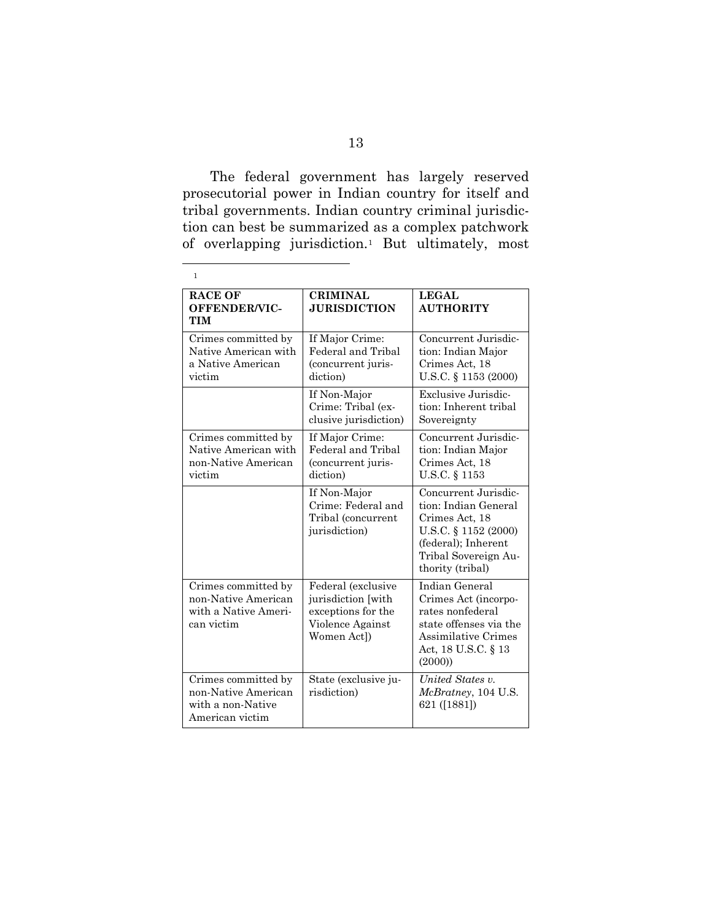The federal government has largely reserved prosecutorial power in Indian country for itself and tribal governments. Indian country criminal jurisdiction can best be summarized as a complex patchwork of overlapping jurisdiction.[1](#page-18-0) But ultimately, most

<span id="page-18-0"></span>

| 1                                                                                  |                                                                                                   |                                                                                                                                                           |
|------------------------------------------------------------------------------------|---------------------------------------------------------------------------------------------------|-----------------------------------------------------------------------------------------------------------------------------------------------------------|
| <b>RACE OF</b><br>OFFENDER/VIC-<br><b>TIM</b>                                      | <b>CRIMINAL</b><br><b>JURISDICTION</b>                                                            | LEGAL<br><b>AUTHORITY</b>                                                                                                                                 |
| Crimes committed by<br>Native American with<br>a Native American<br>victim         | If Major Crime:<br>Federal and Tribal<br>(concurrent juris-<br>diction)                           | Concurrent Jurisdic-<br>tion: Indian Major<br>Crimes Act, 18<br>U.S.C. § 1153 (2000)                                                                      |
|                                                                                    | If Non-Major<br>Crime: Tribal (ex-<br>clusive jurisdiction)                                       | Exclusive Jurisdic-<br>tion: Inherent tribal<br>Sovereignty                                                                                               |
| Crimes committed by<br>Native American with<br>non-Native American<br>victim       | If Major Crime:<br>Federal and Tribal<br>(concurrent juris-<br>diction)                           | Concurrent Jurisdic-<br>tion: Indian Major<br>Crimes Act, 18<br>U.S.C. § 1153                                                                             |
|                                                                                    | If Non-Major<br>Crime: Federal and<br>Tribal (concurrent<br>jurisdiction)                         | Concurrent Jurisdic-<br>tion: Indian General<br>Crimes Act, 18<br>U.S.C. § 1152 (2000)<br>(federal); Inherent<br>Tribal Sovereign Au-<br>thority (tribal) |
| Crimes committed by<br>non-Native American<br>with a Native Ameri-<br>can victim   | Federal (exclusive<br>jurisdiction [with<br>exceptions for the<br>Violence Against<br>Women Act]) | Indian General<br>Crimes Act (incorpo-<br>rates nonfederal<br>state offenses via the<br><b>Assimilative Crimes</b><br>Act, 18 U.S.C. § 13<br>(2000)       |
| Crimes committed by<br>non-Native American<br>with a non-Native<br>American victim | State (exclusive ju-<br>risdiction)                                                               | United States v.<br><i>McBratney</i> , 104 U.S.<br>621 ([1881])                                                                                           |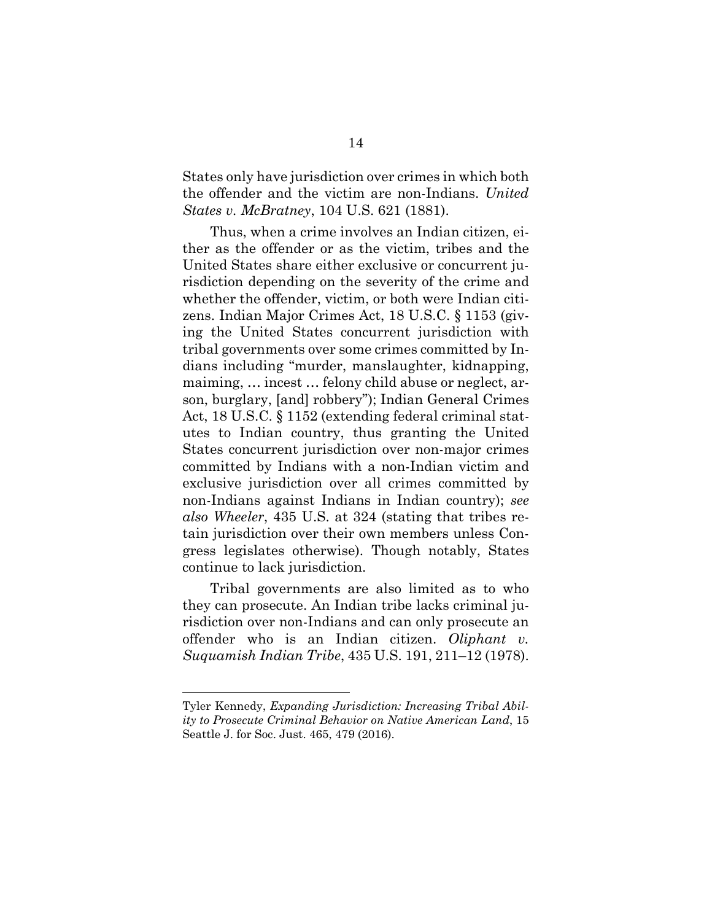States only have jurisdiction over crimes in which both the offender and the victim are non-Indians. *United States v. McBratney*, 104 U.S. 621 (1881).

Thus, when a crime involves an Indian citizen, either as the offender or as the victim, tribes and the United States share either exclusive or concurrent jurisdiction depending on the severity of the crime and whether the offender, victim, or both were Indian citizens. Indian Major Crimes Act, 18 U.S.C. § 1153 (giving the United States concurrent jurisdiction with tribal governments over some crimes committed by Indians including "murder, manslaughter, kidnapping, maiming, … incest … felony child abuse or neglect, arson, burglary, [and] robbery"); Indian General Crimes Act, 18 U.S.C. § 1152 (extending federal criminal statutes to Indian country, thus granting the United States concurrent jurisdiction over non-major crimes committed by Indians with a non-Indian victim and exclusive jurisdiction over all crimes committed by non-Indians against Indians in Indian country); *see also Wheeler*, 435 U.S. at 324 (stating that tribes retain jurisdiction over their own members unless Congress legislates otherwise). Though notably, States continue to lack jurisdiction.

Tribal governments are also limited as to who they can prosecute. An Indian tribe lacks criminal jurisdiction over non-Indians and can only prosecute an offender who is an Indian citizen. *Oliphant v. Suquamish Indian Tribe*, 435 U.S. 191, 211–12 (1978).

Tyler Kennedy, *Expanding Jurisdiction: Increasing Tribal Ability to Prosecute Criminal Behavior on Native American Land*, 15 Seattle J. for Soc. Just. 465, 479 (2016).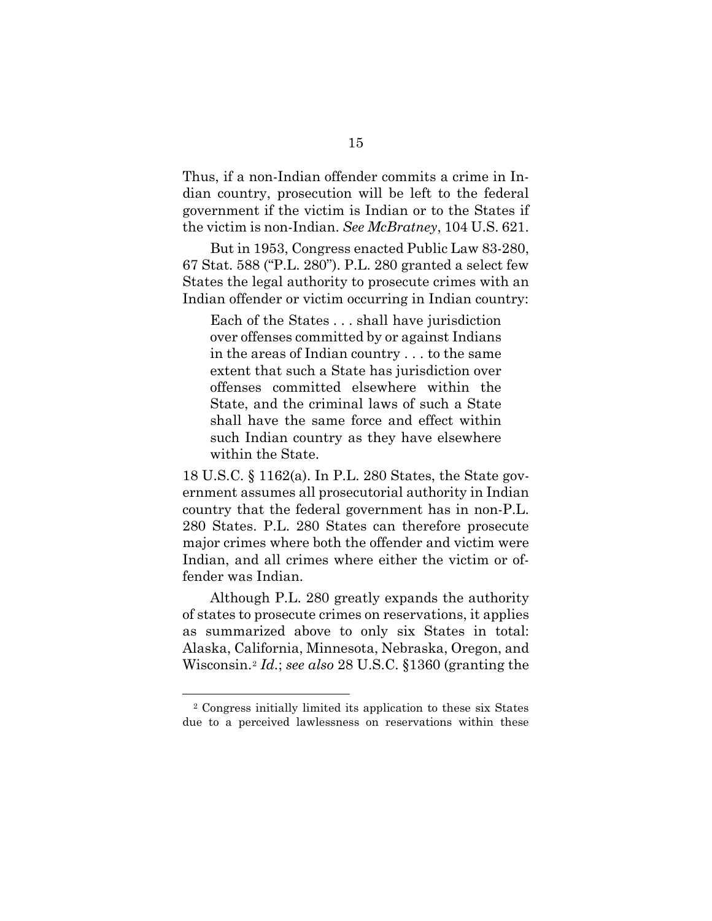Thus, if a non-Indian offender commits a crime in Indian country, prosecution will be left to the federal government if the victim is Indian or to the States if the victim is non-Indian. *See McBratney*, 104 U.S. 621.

But in 1953, Congress enacted Public Law 83-280, 67 Stat. 588 ("P.L. 280"). P.L. 280 granted a select few States the legal authority to prosecute crimes with an Indian offender or victim occurring in Indian country:

Each of the States . . . shall have jurisdiction over offenses committed by or against Indians in the areas of Indian country . . . to the same extent that such a State has jurisdiction over offenses committed elsewhere within the State, and the criminal laws of such a State shall have the same force and effect within such Indian country as they have elsewhere within the State.

18 U.S.C. § 1162(a). In P.L. 280 States, the State government assumes all prosecutorial authority in Indian country that the federal government has in non-P.L. 280 States. P.L. 280 States can therefore prosecute major crimes where both the offender and victim were Indian, and all crimes where either the victim or offender was Indian.

Although P.L. 280 greatly expands the authority of states to prosecute crimes on reservations, it applies as summarized above to only six States in total: Alaska, California, Minnesota, Nebraska, Oregon, and Wisconsin.[2](#page-20-0) *Id.*; *see also* 28 U.S.C. §1360 (granting the

<span id="page-20-0"></span><sup>2</sup> Congress initially limited its application to these six States due to a perceived lawlessness on reservations within these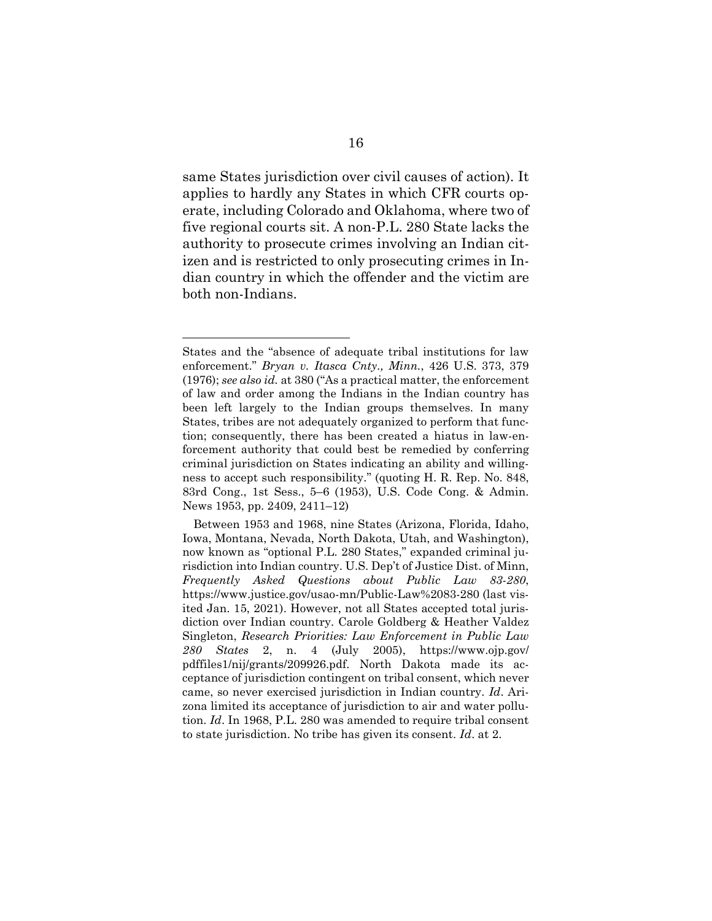same States jurisdiction over civil causes of action). It applies to hardly any States in which CFR courts operate, including Colorado and Oklahoma, where two of five regional courts sit. A non-P.L. 280 State lacks the authority to prosecute crimes involving an Indian citizen and is restricted to only prosecuting crimes in Indian country in which the offender and the victim are both non-Indians.

States and the "absence of adequate tribal institutions for law enforcement." *Bryan v. Itasca Cnty., Minn.*, 426 U.S. 373, 379 (1976); *see also id.* at 380 ("As a practical matter, the enforcement of law and order among the Indians in the Indian country has been left largely to the Indian groups themselves. In many States, tribes are not adequately organized to perform that function; consequently, there has been created a hiatus in law-enforcement authority that could best be remedied by conferring criminal jurisdiction on States indicating an ability and willingness to accept such responsibility." (quoting H. R. Rep. No. 848, 83rd Cong., 1st Sess., 5–6 (1953), U.S. Code Cong. & Admin. News 1953, pp. 2409, 2411–12)

Between 1953 and 1968, nine States (Arizona, Florida, Idaho, Iowa, Montana, Nevada, North Dakota, Utah, and Washington), now known as "optional P.L. 280 States," expanded criminal jurisdiction into Indian country. U.S. Dep't of Justice Dist. of Minn, *Frequently Asked Questions about Public Law 83-280*, https://www.justice.gov/usao-mn/Public-Law%2083-280 (last visited Jan. 15, 2021). However, not all States accepted total jurisdiction over Indian country. Carole Goldberg & Heather Valdez Singleton, *Research Priorities: Law Enforcement in Public Law 280 States* 2, n. 4 (July 2005), https://www.ojp.gov/ pdffiles1/nij/grants/209926.pdf. North Dakota made its acceptance of jurisdiction contingent on tribal consent, which never came, so never exercised jurisdiction in Indian country. *Id*. Arizona limited its acceptance of jurisdiction to air and water pollution. *Id*. In 1968, P.L. 280 was amended to require tribal consent to state jurisdiction. No tribe has given its consent. *Id*. at 2.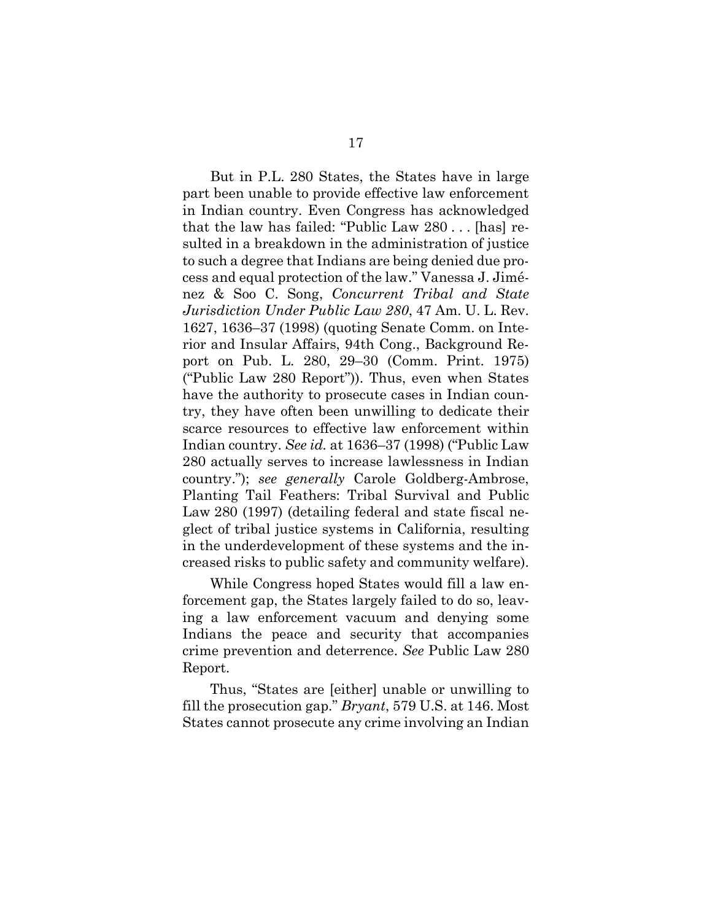But in P.L. 280 States, the States have in large part been unable to provide effective law enforcement in Indian country. Even Congress has acknowledged that the law has failed: "Public Law 280 . . . [has] resulted in a breakdown in the administration of justice to such a degree that Indians are being denied due process and equal protection of the law." Vanessa J. Jiménez & Soo C. Song, *Concurrent Tribal and State Jurisdiction Under Public Law 280*, 47 Am. U. L. Rev. 1627, 1636–37 (1998) (quoting Senate Comm. on Interior and Insular Affairs, 94th Cong., Background Report on Pub. L. 280, 29–30 (Comm. Print. 1975) ("Public Law 280 Report")). Thus, even when States have the authority to prosecute cases in Indian country, they have often been unwilling to dedicate their scarce resources to effective law enforcement within Indian country. *See id.* at 1636–37 (1998) ("Public Law 280 actually serves to increase lawlessness in Indian country."); *see generally* Carole Goldberg-Ambrose, Planting Tail Feathers: Tribal Survival and Public Law 280 (1997) (detailing federal and state fiscal neglect of tribal justice systems in California, resulting in the underdevelopment of these systems and the increased risks to public safety and community welfare).

While Congress hoped States would fill a law enforcement gap, the States largely failed to do so, leaving a law enforcement vacuum and denying some Indians the peace and security that accompanies crime prevention and deterrence. *See* Public Law 280 Report.

Thus, "States are [either] unable or unwilling to fill the prosecution gap." *Bryant*, 579 U.S. at 146. Most States cannot prosecute any crime involving an Indian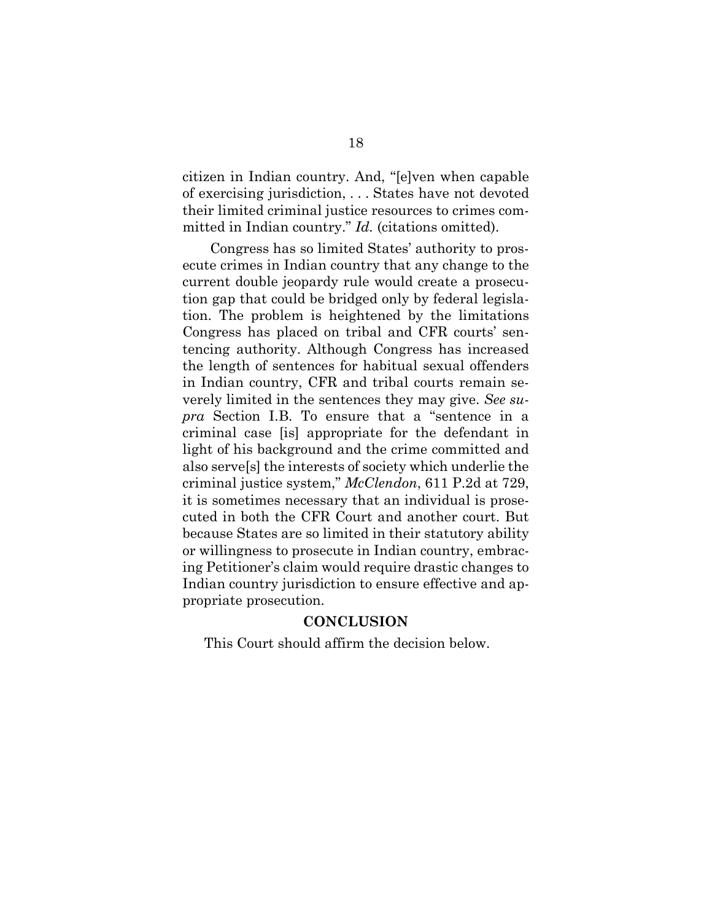citizen in Indian country. And, "[e]ven when capable of exercising jurisdiction, . . . States have not devoted their limited criminal justice resources to crimes committed in Indian country." *Id.* (citations omitted).

Congress has so limited States' authority to prosecute crimes in Indian country that any change to the current double jeopardy rule would create a prosecution gap that could be bridged only by federal legislation. The problem is heightened by the limitations Congress has placed on tribal and CFR courts' sentencing authority. Although Congress has increased the length of sentences for habitual sexual offenders in Indian country, CFR and tribal courts remain severely limited in the sentences they may give. *See supra* Section I.B. To ensure that a "sentence in a criminal case [is] appropriate for the defendant in light of his background and the crime committed and also serve[s] the interests of society which underlie the criminal justice system," *McClendon*, 611 P.2d at 729, it is sometimes necessary that an individual is prosecuted in both the CFR Court and another court. But because States are so limited in their statutory ability or willingness to prosecute in Indian country, embracing Petitioner's claim would require drastic changes to Indian country jurisdiction to ensure effective and appropriate prosecution.

#### **CONCLUSION**

<span id="page-23-0"></span>This Court should affirm the decision below.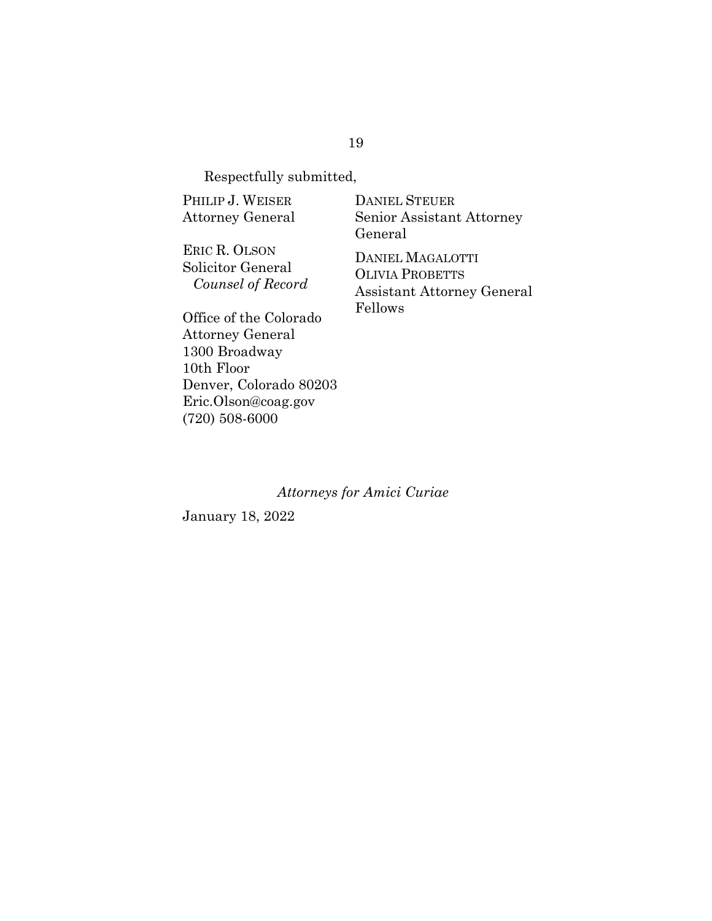Respectfully submitted,

PHILIP J. WEISER Attorney General

ERIC R. OLSON Solicitor General *Counsel of Record* DANIEL STEUER Senior Assistant Attorney General

DANIEL MAGALOTTI OLIVIA PROBETTS Assistant Attorney General Fellows

Office of the Colorado Attorney General 1300 Broadway 10th Floor Denver, Colorado 80203 Eric.Olson@coag.gov (720) 508-6000

#### *Attorneys for Amici Curiae*

January 18, 2022

#### 19